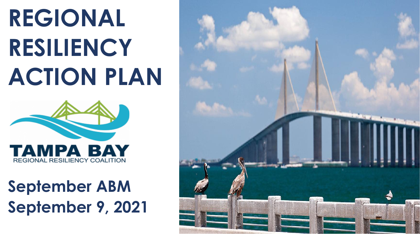## **REGIONAL RESILIENCY ACTION PLAN**



### **September ABM September 9, 2021**

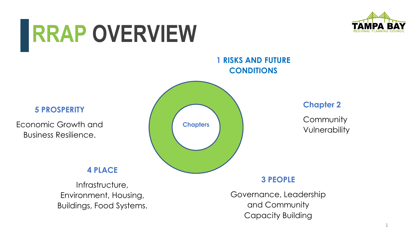### **RRAP OVERVIEW**



**1 RISKS AND FUTURE CONDITIONS**

**5 PROSPERITY**

Economic Growth and Business Resilience.

#### **4 PLACE**

Infrastructure, Environment, Housing, Buildings, Food Systems.



**Chapter 2**

**Community** Vulnerability

**3 PEOPLE**

Governance, Leadership and Community Capacity Building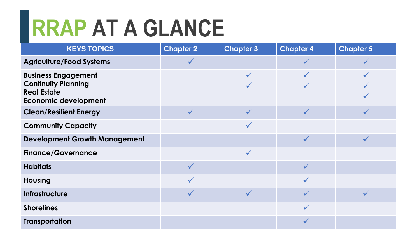# **RRAP AT A GLANCE**

| <b>KEYS TOPICS</b>                                                                                            | <b>Chapter 2</b> | <b>Chapter 3</b> | <b>Chapter 4</b> | <b>Chapter 5</b> |
|---------------------------------------------------------------------------------------------------------------|------------------|------------------|------------------|------------------|
| <b>Agriculture/Food Systems</b>                                                                               |                  |                  | $\checkmark$     |                  |
| <b>Business Engagement</b><br><b>Continuity Planning</b><br><b>Real Estate</b><br><b>Economic development</b> |                  | $\checkmark$     |                  |                  |
| <b>Clean/Resilient Energy</b>                                                                                 |                  |                  | $\checkmark$     |                  |
| <b>Community Capacity</b>                                                                                     |                  | $\checkmark$     |                  |                  |
| <b>Development Growth Management</b>                                                                          |                  |                  | $\checkmark$     | $\checkmark$     |
| <b>Finance/Governance</b>                                                                                     |                  | $\checkmark$     |                  |                  |
| <b>Habitats</b>                                                                                               |                  |                  | $\checkmark$     |                  |
| <b>Housing</b>                                                                                                |                  |                  | $\checkmark$     |                  |
| Infrastructure                                                                                                |                  | $\checkmark$     | $\checkmark$     | $\checkmark$     |
| <b>Shorelines</b>                                                                                             |                  |                  | $\checkmark$     |                  |
| <b>Transportation</b>                                                                                         |                  |                  |                  |                  |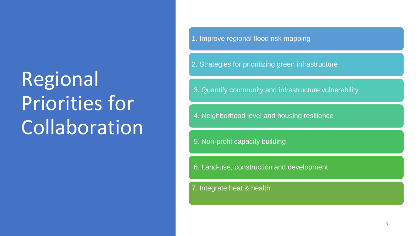### Regional Priorities for Collaboration

1. Improve regional flood risk mapping

2. Strategies for prioritizing green infrastructure

3. Quantify community and infrastructure vulnerability

4. Neighborhood level and housing resilience

5. Non-profit capacity building

6. Land-use, construction and development

7. Integrate heat & health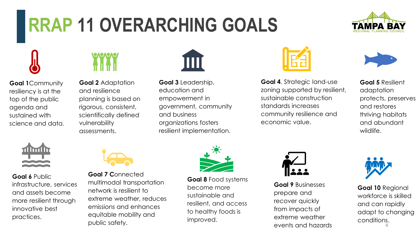### **RRAP 11 OVERARCHING GOALS**



**Goal 1**Community resiliency is at the top of the public agenda and sustained with science and data.



**Goal 2** Adaptation and resilience planning is based on rigorous, consistent, scientifically defined vulnerability assessments.



**Goal 3** Leadership, education and empowerment in government, community and business organizations fosters resilient implementation.



**Goal 4**. Strategic land-use zoning supported by resilient, sustainable construction standards increases community resilience and economic value.



**Goal 5** Resilient adaptation protects, preserves and restores thriving habitats and abundant wildlife.



**Goal 6** Public infrastructure, services and assets become more resilient through innovative best practices.



**Goal 7 C**onnected multimodal transportation network is resilient to extreme weather, reduces emissions and enhances equitable mobility and public safety.



**Goal 8** Food systems become more sustainable and resilient, and access to healthy foods is improved.



**Goal 9** Businesses prepare and recover quickly from impacts of extreme weather events and hazards



4 **Goal 10** Regional workforce is skilled and can rapidly adapt to changing conditions.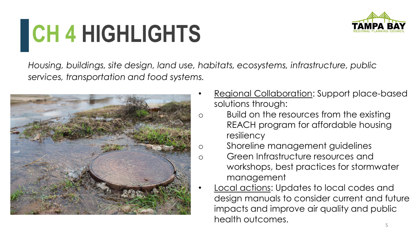# **CH 4 HIGHLIGHTS**



*Housing, buildings, site design, land use, habitats, ecosystems, infrastructure, public services, transportation and food systems.* 



- Regional Collaboration: Support place-based solutions through:
- o Build on the resources from the existing REACH program for affordable housing resiliency
- o Shoreline management guidelines
- o Green Infrastructure resources and workshops, best practices for stormwater management
	- Local actions: Updates to local codes and design manuals to consider current and future impacts and improve air quality and public health outcomes.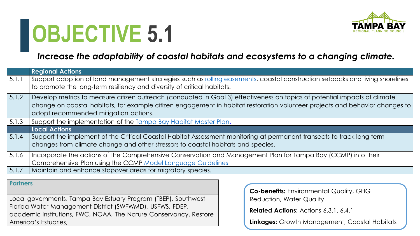

#### *Increase the adaptability of coastal habitats and ecosystems to a changing climate.*

|       | <b>Regional Actions</b>                                                                                                                                                                                   |
|-------|-----------------------------------------------------------------------------------------------------------------------------------------------------------------------------------------------------------|
| 5.1.1 | Support adoption of land management strategies such as rolling easements, coastal construction setbacks and living shorelines<br>to promote the long-term resiliency and diversity of critical habitats.  |
| 5.1.2 | Develop metrics to measure citizen outreach (conducted in Goal 3) effectiveness on topics of potential impacts of climate                                                                                 |
|       | change on coastal habitats, for example citizen engagement in habitat restoration volunteer projects and behavior changes to<br>adopt recommended mitigation actions.                                     |
| 5.1.3 | Support the implementation of the Tampa Bay Habitat Master Plan.                                                                                                                                          |
|       | <b>Local Actions</b>                                                                                                                                                                                      |
| 5.1.4 | Support the implement of the Critical Coastal Habitat Assessment monitoring at permanent transects to track long-term<br>changes from climate change and other stressors to coastal habitats and species. |
| 5.1.6 | Incorporate the actions of the Comprehensive Conservation and Management Plan for Tampa Bay (CCMP) into their                                                                                             |
|       | Comprehensive Plan using the CCMP Model Language Guidelines                                                                                                                                               |
| 5.1.7 | Maintain and enhance stopover areas for migratory species.                                                                                                                                                |

**Partners** 

Local governments, Tampa Bay Estuary Program (TBEP), Southwest Florida Water Management District (SWFWMD), USFWS, FDEP, academic institutions, FWC, NOAA, The Nature Conservancy, Restore America's Estuaries,

**Co-benefits:** Environmental Quality, GHG Reduction, Water Quality

**Related Actions:** Actions 6.3.1, 6.4.1

**Linkages:** Growth Management, Coastal Habitats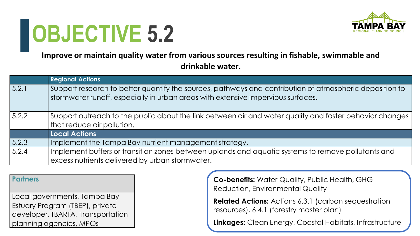

**Improve or maintain quality water from various sources resulting in fishable, swimmable and drinkable water.**

|       | <b>Regional Actions</b>                                                                                                                                                                     |
|-------|---------------------------------------------------------------------------------------------------------------------------------------------------------------------------------------------|
| 5.2.1 | Support research to better quantify the sources, pathways and contribution of atmospheric deposition to<br>stormwater runoff, especially in urban areas with extensive impervious surfaces. |
| 5.2.2 | Support outreach to the public about the link between air and water quality and foster behavior changes<br>that reduce air pollution.                                                       |
|       | <b>Local Actions</b>                                                                                                                                                                        |
| 5.2.3 | Implement the Tampa Bay nutrient management strategy.                                                                                                                                       |
| 5.2.4 | Implement buffers or transition zones between uplands and aquatic systems to remove pollutants and<br>excess nutrients delivered by urban stormwater.                                       |

**Partners** 

Local governments, Tampa Bay Estuary Program (TBEP), private developer, TBARTA, Transportation planning agencies, MPOs

**Co-benefits:** Water Quality, Public Health, GHG Reduction, Environmental Quality

**Related Actions:** Actions 6.3.1 (carbon sequestration resources), 6.4.1 (forestry master plan)

**Linkages:** Clean Energy, Coastal Habitats, Infrastructure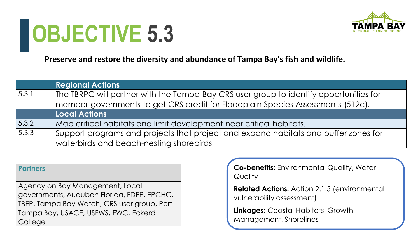

**Preserve and restore the diversity and abundance of Tampa Bay's fish and wildlife.**

|                | <b>Regional Actions</b>                                                                |
|----------------|----------------------------------------------------------------------------------------|
| 5.3.1          | The TBRPC will partner with the Tampa Bay CRS user group to identify opportunities for |
|                | member governments to get CRS credit for Floodplain Species Assessments (512c).        |
|                | <b>Local Actions</b>                                                                   |
| 5.3.2          | Map critical habitats and limit development near critical habitats.                    |
| $\sqrt{5.3.3}$ | Support programs and projects that project and expand habitats and buffer zones for    |
|                | waterbirds and beach-nesting shorebirds                                                |

#### **Partners**

Agency on Bay Management, Local governments, Audubon Florida, FDEP, EPCHC, TBEP, Tampa Bay Watch, CRS user group, Port Tampa Bay, USACE, USFWS, FWC, Eckerd College

**Co-benefits:** Environmental Quality, Water **Quality** 

**Related Actions:** Action 2.1.5 (environmental vulnerability assessment)

**Linkages:** Coastal Habitats, Growth Management, Shorelines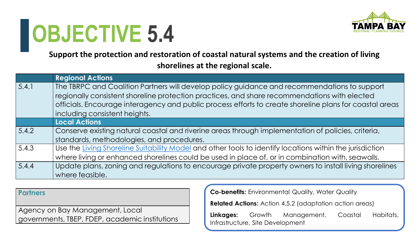

**Support the protection and restoration of coastal natural systems and the creation of living shorelines at the regional scale.**

|       | <b>Regional Actions</b>                                                                                  |
|-------|----------------------------------------------------------------------------------------------------------|
| 5.4.1 | The TBRPC and Coalition Partners will develop policy guidance and recommendations to support             |
|       | regionally consistent shoreline protection practices, and share recommendations with elected             |
|       | officials. Encourage interagency and public process efforts to create shoreline plans for coastal areas  |
|       | including consistent heights.                                                                            |
|       | <b>Local Actions</b>                                                                                     |
| 5.4.2 | Conserve existing natural coastal and riverine areas through implementation of policies, criteria,       |
|       | standards, methodologies, and procedures.                                                                |
| 5.4.3 | Use the Living Shoreline Suitability Model and other tools to identify locations within the jurisdiction |
|       | where living or enhanced shorelines could be used in place of, or in combination with, seawalls.         |
| 5.4.4 | Update plans, zoning and regulations to encourage private property owners to install living shorelines   |
|       | where feasible.                                                                                          |

**Partners** 

Agency on Bay Management, Local governments, TBEP, FDEP, academic institutions **Co-benefits:** Environmental Quality, Water Quality **Related Actions:** Action 4.5.2 (adaptation action areas)

**Linkages:** Growth Management, Coastal Habitats, Infrastructure, Site Development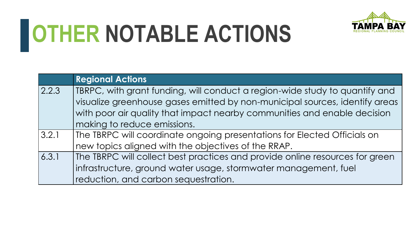

# **OTHER NOTABLE ACTIONS**

|       | <b>Regional Actions</b>                                                      |
|-------|------------------------------------------------------------------------------|
| 2.2.3 | TBRPC, with grant funding, will conduct a region-wide study to quantify and  |
|       | visualize greenhouse gases emitted by non-municipal sources, identify areas  |
|       | with poor air quality that impact nearby communities and enable decision     |
|       | making to reduce emissions.                                                  |
| 3.2.1 | The TBRPC will coordinate ongoing presentations for Elected Officials on     |
|       | new topics aligned with the objectives of the RRAP.                          |
| 6.3.1 | The TBRPC will collect best practices and provide online resources for green |
|       | infrastructure, ground water usage, stormwater management, fuel              |
|       | reduction, and carbon sequestration.                                         |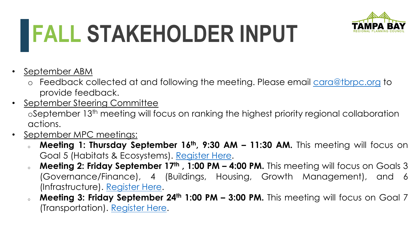# **FALL STAKEHOLDER INPUT**



- September ABM
	- o Feedback collected at and following the meeting. Please email [cara@tbrpc.org](mailto:cara@tbrpc.org) to provide feedback.
- September Steering Committee oSeptember 13th meeting will focus on ranking the highest priority regional collaboration actions.
- September MPC meetings:
	- <sup>o</sup> **Meeting 1: Thursday September 16th , 9:30 AM – 11:30 AM.** This meeting will focus on Goal 5 (Habitats & Ecosystems). [Register](https://us02web.zoom.us/meeting/register/tZYqdO2pqDgrGdYVQoJ56bXKje4VjwLslj0z) Here.
	- <sup>o</sup> **Meeting 2: Friday September 17th , 1:00 PM – 4:00 PM.** This meeting will focus on Goals 3 (Governance/Finance), 4 (Buildings, Housing, Growth Management), and 6 (Infrastructure). [Register](https://us02web.zoom.us/meeting/register/tZUtd--gqTkvEt3xig8EoLljtIk-ttC_zim4) Here.
	- <sup>o</sup> **Meeting 3: Friday September 24th 1:00 PM – 3:00 PM.** This meeting will focus on Goal 7 (Transportation). [Register](https://us02web.zoom.us/meeting/register/tZUrcO2rpzoqE9fuGhb9C1EVawI5DJfkKOUf) Here.